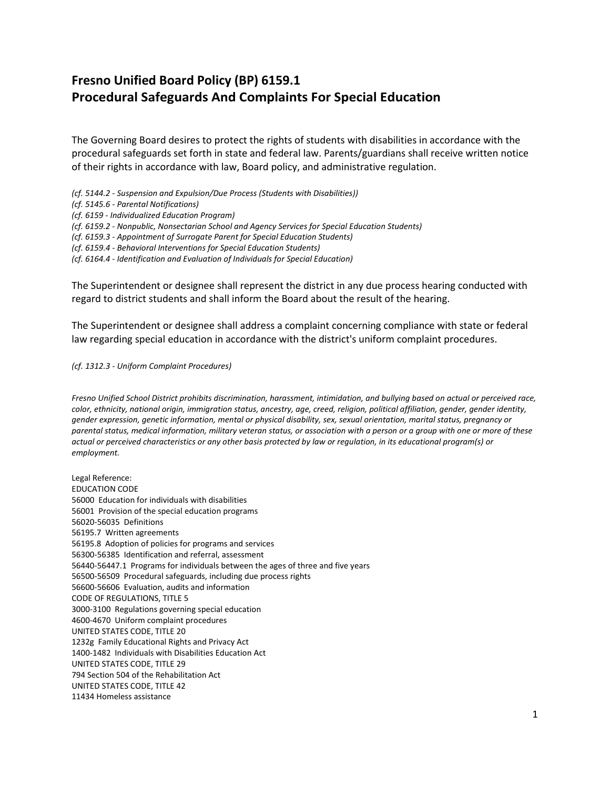## **Fresno Unified Board Policy (BP) 6159.1 Procedural Safeguards And Complaints For Special Education**

The Governing Board desires to protect the rights of students with disabilities in accordance with the procedural safeguards set forth in state and federal law. Parents/guardians shall receive written notice of their rights in accordance with law, Board policy, and administrative regulation.

*(cf. 5144.2 - Suspension and Expulsion/Due Process (Students with Disabilities))*

*(cf. 5145.6 - Parental Notifications)*

*(cf. 6159 - Individualized Education Program)*

*(cf. 6159.2 - Nonpublic, Nonsectarian School and Agency Services for Special Education Students)*

- *(cf. 6159.3 - Appointment of Surrogate Parent for Special Education Students)*
- *(cf. 6159.4 - Behavioral Interventions for Special Education Students)*

*(cf. 6164.4 - Identification and Evaluation of Individuals for Special Education)*

The Superintendent or designee shall represent the district in any due process hearing conducted with regard to district students and shall inform the Board about the result of the hearing.

The Superintendent or designee shall address a complaint concerning compliance with state or federal law regarding special education in accordance with the district's uniform complaint procedures.

*(cf. 1312.3 - Uniform Complaint Procedures)*

*Fresno Unified School District prohibits discrimination, harassment, intimidation, and bullying based on actual or perceived race, color, ethnicity, national origin, immigration status, ancestry, age, creed, religion, political affiliation, gender, gender identity, gender expression, genetic information, mental or physical disability, sex, sexual orientation, marital status, pregnancy or parental status, medical information, military veteran status, or association with a person or a group with one or more of these actual or perceived characteristics or any other basis protected by law or regulation, in its educational program(s) or employment.*

Legal Reference: EDUCATION CODE 56000 Education for individuals with disabilities 56001 Provision of the special education programs 56020-56035 Definitions 56195.7 Written agreements 56195.8 Adoption of policies for programs and services 56300-56385 Identification and referral, assessment 56440-56447.1 Programs for individuals between the ages of three and five years 56500-56509 Procedural safeguards, including due process rights 56600-56606 Evaluation, audits and information CODE OF REGULATIONS, TITLE 5 3000-3100 Regulations governing special education 4600-4670 Uniform complaint procedures UNITED STATES CODE, TITLE 20 1232g Family Educational Rights and Privacy Act 1400-1482 Individuals with Disabilities Education Act UNITED STATES CODE, TITLE 29 794 Section 504 of the Rehabilitation Act UNITED STATES CODE, TITLE 42 11434 Homeless assistance